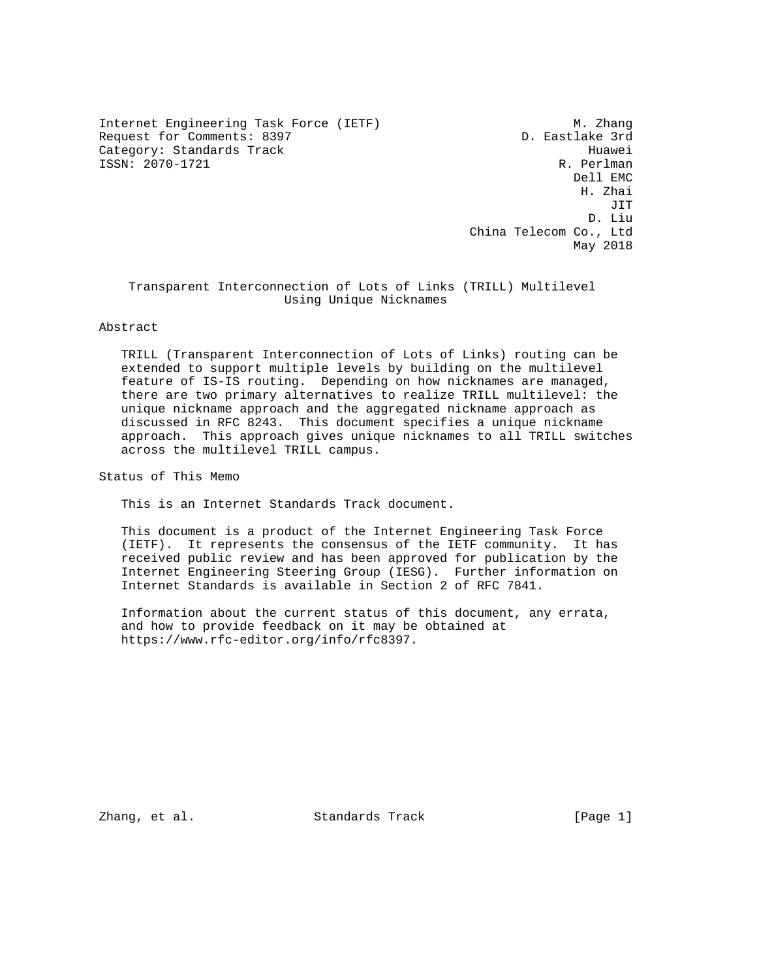Internet Engineering Task Force (IETF) M. Zhang Request for Comments: 8397 D. Eastlake 3rd Category: Standards Track Huawei (1993)<br>ISSN: 2070-1721 R. Perlman  $ISSN: 2070-1721$ 

 Dell EMC H. Zhai JIT D. Liu China Telecom Co., Ltd May 2018

## Transparent Interconnection of Lots of Links (TRILL) Multilevel Using Unique Nicknames

Abstract

 TRILL (Transparent Interconnection of Lots of Links) routing can be extended to support multiple levels by building on the multilevel feature of IS-IS routing. Depending on how nicknames are managed, there are two primary alternatives to realize TRILL multilevel: the unique nickname approach and the aggregated nickname approach as discussed in RFC 8243. This document specifies a unique nickname approach. This approach gives unique nicknames to all TRILL switches across the multilevel TRILL campus.

Status of This Memo

This is an Internet Standards Track document.

 This document is a product of the Internet Engineering Task Force (IETF). It represents the consensus of the IETF community. It has received public review and has been approved for publication by the Internet Engineering Steering Group (IESG). Further information on Internet Standards is available in Section 2 of RFC 7841.

 Information about the current status of this document, any errata, and how to provide feedback on it may be obtained at https://www.rfc-editor.org/info/rfc8397.

Zhang, et al. Standards Track [Page 1]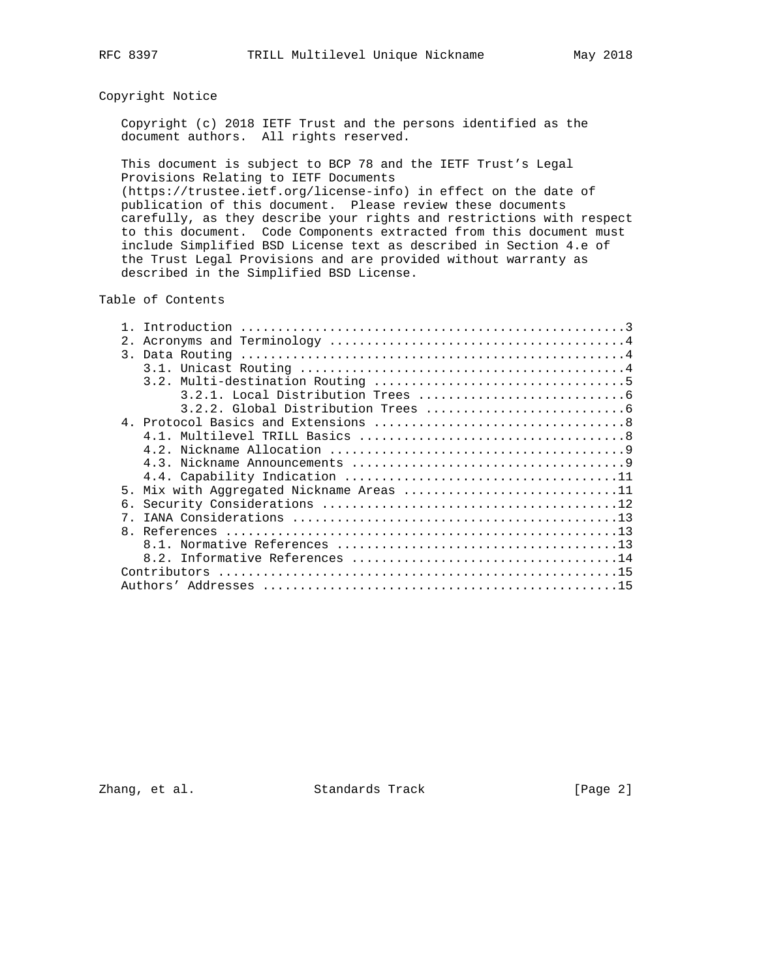# Copyright Notice

 Copyright (c) 2018 IETF Trust and the persons identified as the document authors. All rights reserved.

 This document is subject to BCP 78 and the IETF Trust's Legal Provisions Relating to IETF Documents (https://trustee.ietf.org/license-info) in effect on the date of publication of this document. Please review these documents

 carefully, as they describe your rights and restrictions with respect to this document. Code Components extracted from this document must include Simplified BSD License text as described in Section 4.e of the Trust Legal Provisions and are provided without warranty as described in the Simplified BSD License.

### Table of Contents

| 2 <sub>1</sub>                           |
|------------------------------------------|
|                                          |
|                                          |
|                                          |
|                                          |
|                                          |
|                                          |
|                                          |
|                                          |
|                                          |
|                                          |
| 5. Mix with Aggregated Nickname Areas 11 |
| б.                                       |
|                                          |
|                                          |
|                                          |
|                                          |
|                                          |
|                                          |

Zhang, et al. Standards Track [Page 2]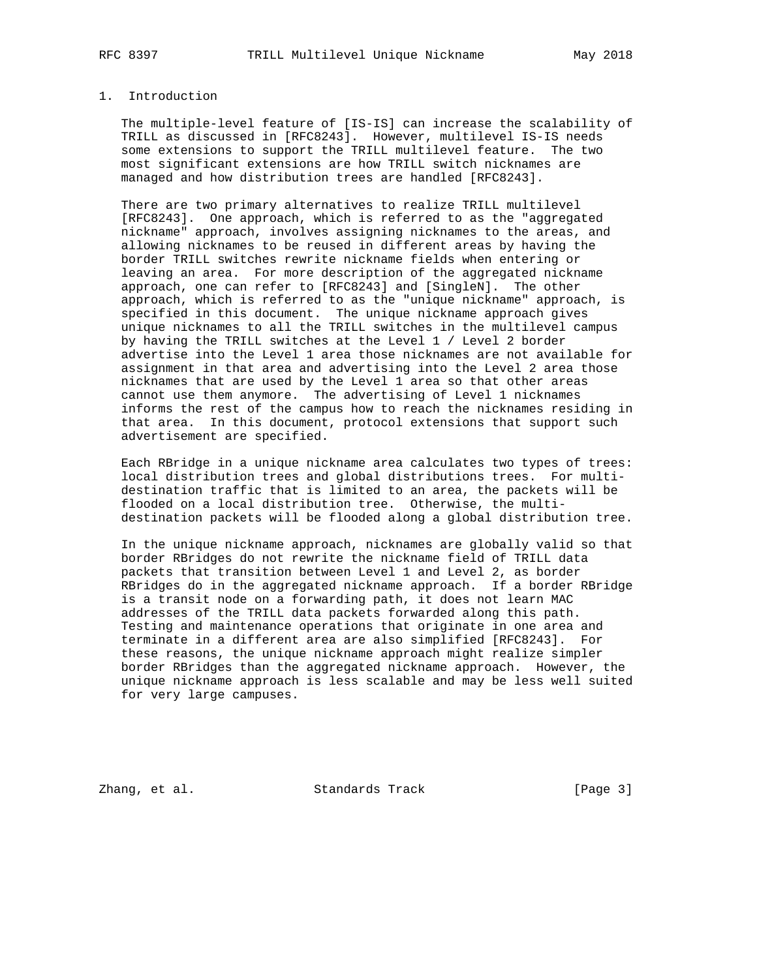## 1. Introduction

 The multiple-level feature of [IS-IS] can increase the scalability of TRILL as discussed in [RFC8243]. However, multilevel IS-IS needs some extensions to support the TRILL multilevel feature. The two most significant extensions are how TRILL switch nicknames are managed and how distribution trees are handled [RFC8243].

 There are two primary alternatives to realize TRILL multilevel [RFC8243]. One approach, which is referred to as the "aggregated nickname" approach, involves assigning nicknames to the areas, and allowing nicknames to be reused in different areas by having the border TRILL switches rewrite nickname fields when entering or leaving an area. For more description of the aggregated nickname approach, one can refer to [RFC8243] and [SingleN]. The other approach, which is referred to as the "unique nickname" approach, is specified in this document. The unique nickname approach gives unique nicknames to all the TRILL switches in the multilevel campus by having the TRILL switches at the Level 1 / Level 2 border advertise into the Level 1 area those nicknames are not available for assignment in that area and advertising into the Level 2 area those nicknames that are used by the Level 1 area so that other areas cannot use them anymore. The advertising of Level 1 nicknames informs the rest of the campus how to reach the nicknames residing in that area. In this document, protocol extensions that support such advertisement are specified.

 Each RBridge in a unique nickname area calculates two types of trees: local distribution trees and global distributions trees. For multi destination traffic that is limited to an area, the packets will be flooded on a local distribution tree. Otherwise, the multi destination packets will be flooded along a global distribution tree.

 In the unique nickname approach, nicknames are globally valid so that border RBridges do not rewrite the nickname field of TRILL data packets that transition between Level 1 and Level 2, as border RBridges do in the aggregated nickname approach. If a border RBridge is a transit node on a forwarding path, it does not learn MAC addresses of the TRILL data packets forwarded along this path. Testing and maintenance operations that originate in one area and terminate in a different area are also simplified [RFC8243]. For these reasons, the unique nickname approach might realize simpler border RBridges than the aggregated nickname approach. However, the unique nickname approach is less scalable and may be less well suited for very large campuses.

Zhang, et al. Standards Track [Page 3]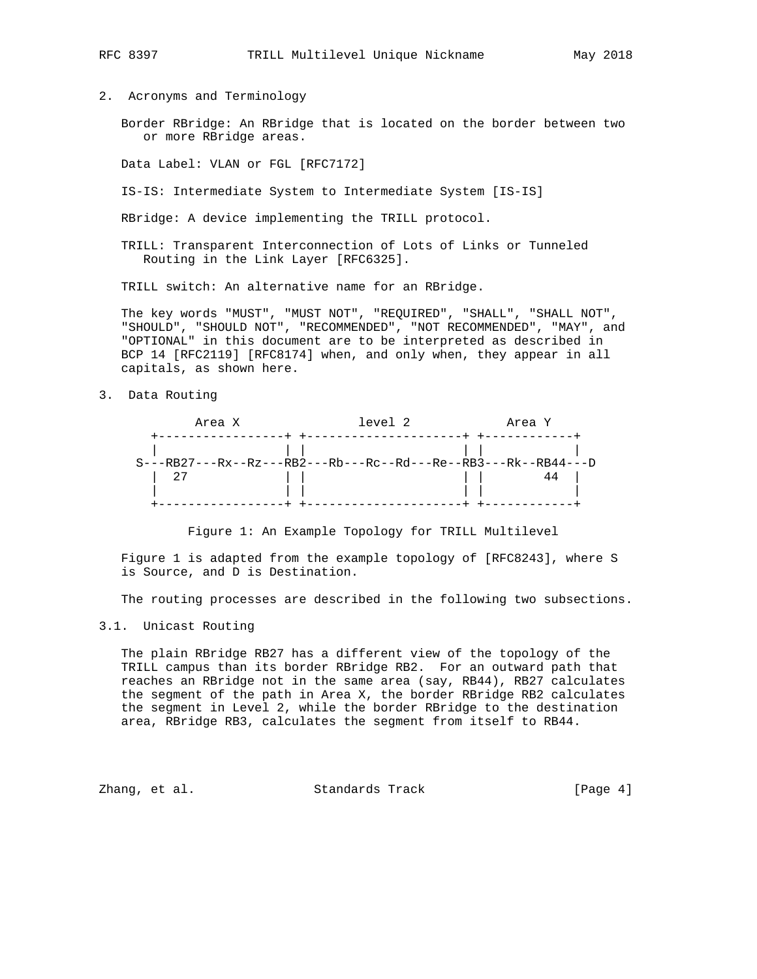2. Acronyms and Terminology

 Border RBridge: An RBridge that is located on the border between two or more RBridge areas.

Data Label: VLAN or FGL [RFC7172]

IS-IS: Intermediate System to Intermediate System [IS-IS]

RBridge: A device implementing the TRILL protocol.

 TRILL: Transparent Interconnection of Lots of Links or Tunneled Routing in the Link Layer [RFC6325].

TRILL switch: An alternative name for an RBridge.

 The key words "MUST", "MUST NOT", "REQUIRED", "SHALL", "SHALL NOT", "SHOULD", "SHOULD NOT", "RECOMMENDED", "NOT RECOMMENDED", "MAY", and "OPTIONAL" in this document are to be interpreted as described in BCP 14 [RFC2119] [RFC8174] when, and only when, they appear in all capitals, as shown here.

3. Data Routing

| Area X                                                           | level 2 | Area Y |  |
|------------------------------------------------------------------|---------|--------|--|
|                                                                  |         |        |  |
| $S---RB27---Rx--Rz---RB2---Rb---Rc--Rd---Re--RB3---Rk--RB44---D$ |         |        |  |
| 27                                                               |         |        |  |
|                                                                  |         |        |  |

Figure 1: An Example Topology for TRILL Multilevel

 Figure 1 is adapted from the example topology of [RFC8243], where S is Source, and D is Destination.

The routing processes are described in the following two subsections.

#### 3.1. Unicast Routing

 The plain RBridge RB27 has a different view of the topology of the TRILL campus than its border RBridge RB2. For an outward path that reaches an RBridge not in the same area (say, RB44), RB27 calculates the segment of the path in Area X, the border RBridge RB2 calculates the segment in Level 2, while the border RBridge to the destination area, RBridge RB3, calculates the segment from itself to RB44.

Zhang, et al. Standards Track [Page 4]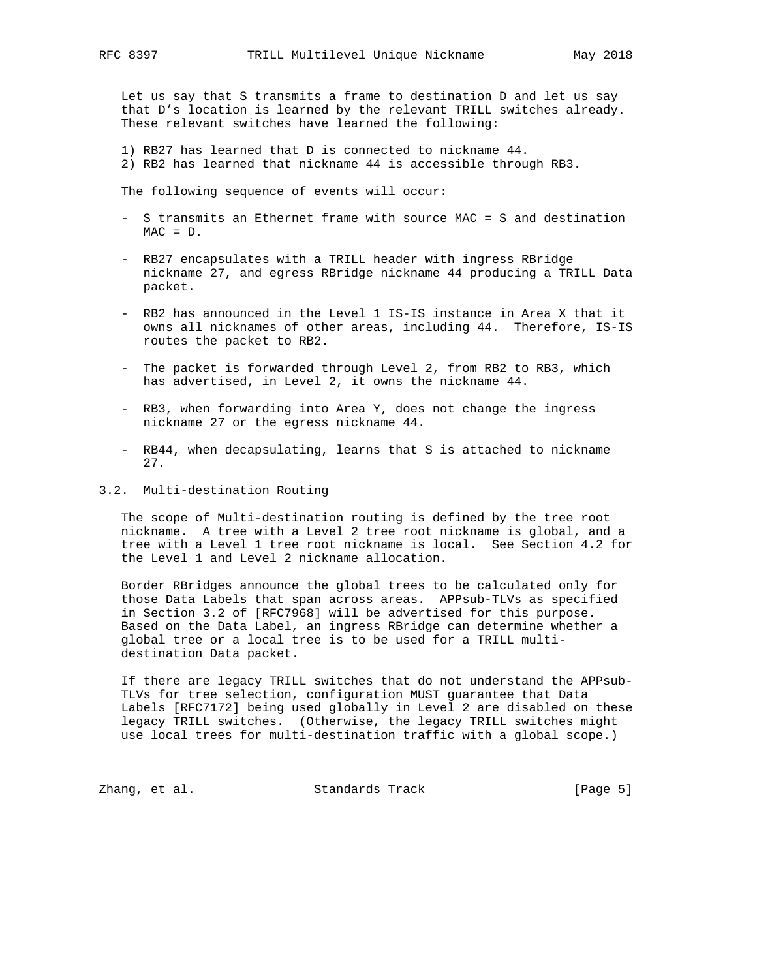Let us say that S transmits a frame to destination D and let us say that D's location is learned by the relevant TRILL switches already. These relevant switches have learned the following:

 1) RB27 has learned that D is connected to nickname 44. 2) RB2 has learned that nickname 44 is accessible through RB3.

The following sequence of events will occur:

- S transmits an Ethernet frame with source MAC = S and destination  $MAC = D$ .
- RB27 encapsulates with a TRILL header with ingress RBridge nickname 27, and egress RBridge nickname 44 producing a TRILL Data packet.
- RB2 has announced in the Level 1 IS-IS instance in Area X that it owns all nicknames of other areas, including 44. Therefore, IS-IS routes the packet to RB2.
- The packet is forwarded through Level 2, from RB2 to RB3, which has advertised, in Level 2, it owns the nickname 44.
- RB3, when forwarding into Area Y, does not change the ingress nickname 27 or the egress nickname 44.
- RB44, when decapsulating, learns that S is attached to nickname 27.
- 3.2. Multi-destination Routing

 The scope of Multi-destination routing is defined by the tree root nickname. A tree with a Level 2 tree root nickname is global, and a tree with a Level 1 tree root nickname is local. See Section 4.2 for the Level 1 and Level 2 nickname allocation.

 Border RBridges announce the global trees to be calculated only for those Data Labels that span across areas. APPsub-TLVs as specified in Section 3.2 of [RFC7968] will be advertised for this purpose. Based on the Data Label, an ingress RBridge can determine whether a global tree or a local tree is to be used for a TRILL multi destination Data packet.

 If there are legacy TRILL switches that do not understand the APPsub- TLVs for tree selection, configuration MUST guarantee that Data Labels [RFC7172] being used globally in Level 2 are disabled on these legacy TRILL switches. (Otherwise, the legacy TRILL switches might use local trees for multi-destination traffic with a global scope.)

Zhang, et al. Standards Track [Page 5]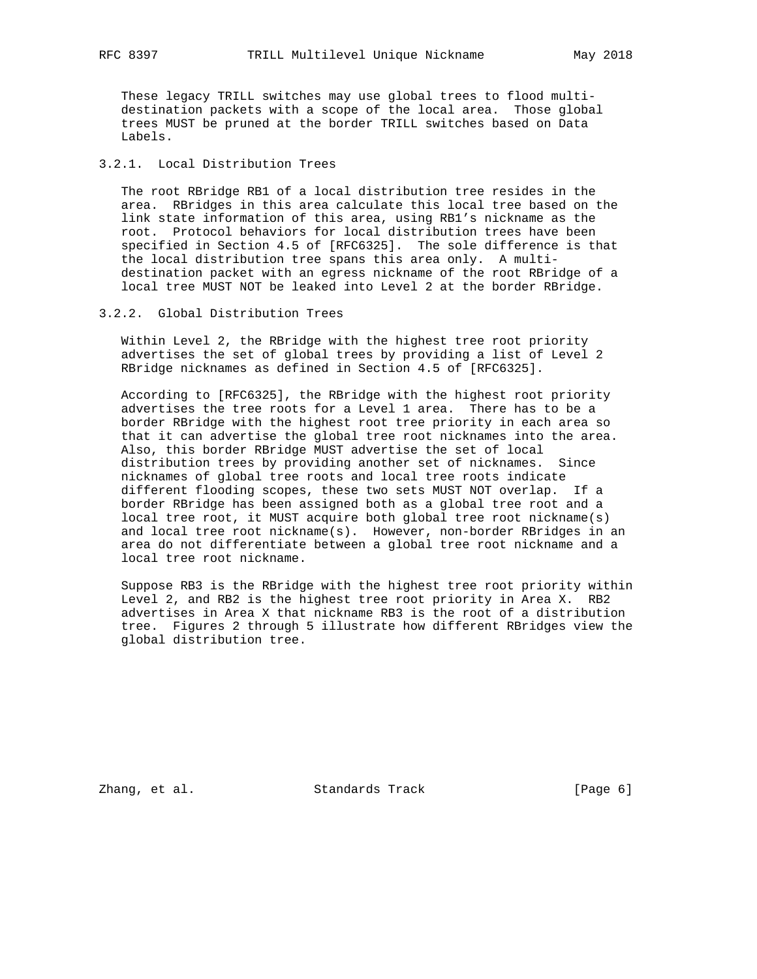These legacy TRILL switches may use global trees to flood multi destination packets with a scope of the local area. Those global trees MUST be pruned at the border TRILL switches based on Data Labels.

# 3.2.1. Local Distribution Trees

 The root RBridge RB1 of a local distribution tree resides in the area. RBridges in this area calculate this local tree based on the link state information of this area, using RB1's nickname as the root. Protocol behaviors for local distribution trees have been specified in Section 4.5 of [RFC6325]. The sole difference is that the local distribution tree spans this area only. A multi destination packet with an egress nickname of the root RBridge of a local tree MUST NOT be leaked into Level 2 at the border RBridge.

#### 3.2.2. Global Distribution Trees

 Within Level 2, the RBridge with the highest tree root priority advertises the set of global trees by providing a list of Level 2 RBridge nicknames as defined in Section 4.5 of [RFC6325].

 According to [RFC6325], the RBridge with the highest root priority advertises the tree roots for a Level 1 area. There has to be a border RBridge with the highest root tree priority in each area so that it can advertise the global tree root nicknames into the area. Also, this border RBridge MUST advertise the set of local distribution trees by providing another set of nicknames. Since nicknames of global tree roots and local tree roots indicate different flooding scopes, these two sets MUST NOT overlap. If a border RBridge has been assigned both as a global tree root and a local tree root, it MUST acquire both global tree root nickname(s) and local tree root nickname(s). However, non-border RBridges in an area do not differentiate between a global tree root nickname and a local tree root nickname.

 Suppose RB3 is the RBridge with the highest tree root priority within Level 2, and RB2 is the highest tree root priority in Area X. RB2 advertises in Area X that nickname RB3 is the root of a distribution tree. Figures 2 through 5 illustrate how different RBridges view the global distribution tree.

Zhang, et al. Standards Track (Page 6)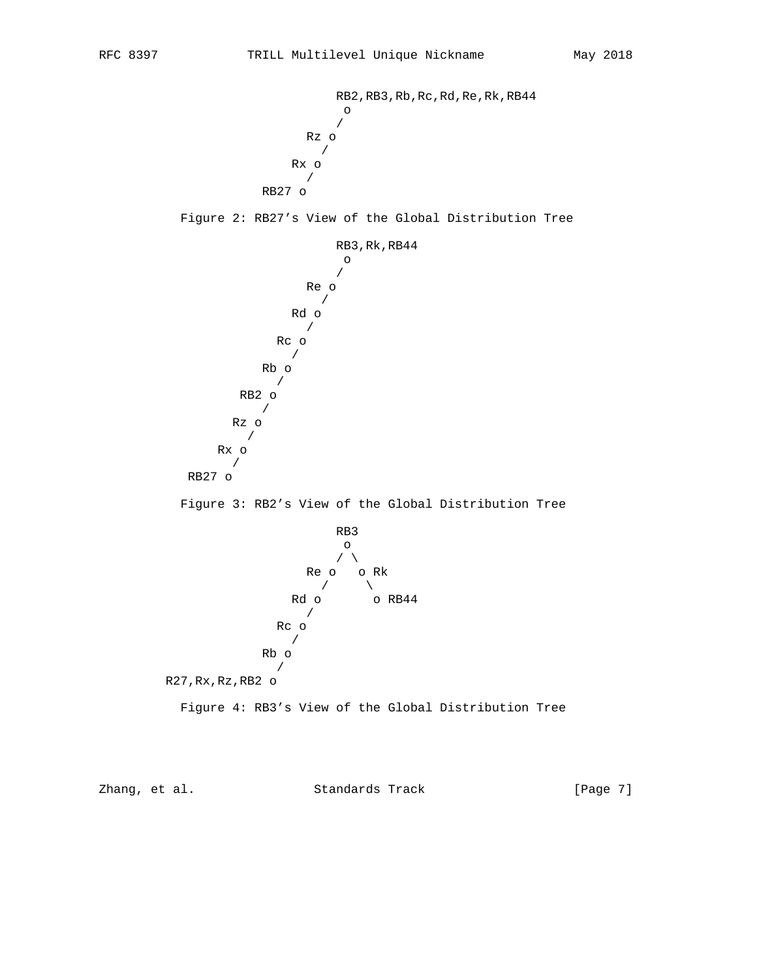RB2,RB3,Rb,Rc,Rd,Re,Rk,RB44 <u>o antico de la contrada de la contrada de la contrada de la contrada de la contrada de la contrada de la con</u> / Rz o / Rx o / RB27 o

Figure 2: RB27's View of the Global Distribution Tree



 Rb o / R27,Rx,Rz,RB2 o

Figure 4: RB3's View of the Global Distribution Tree

Zhang, et al. Standards Track [Page 7]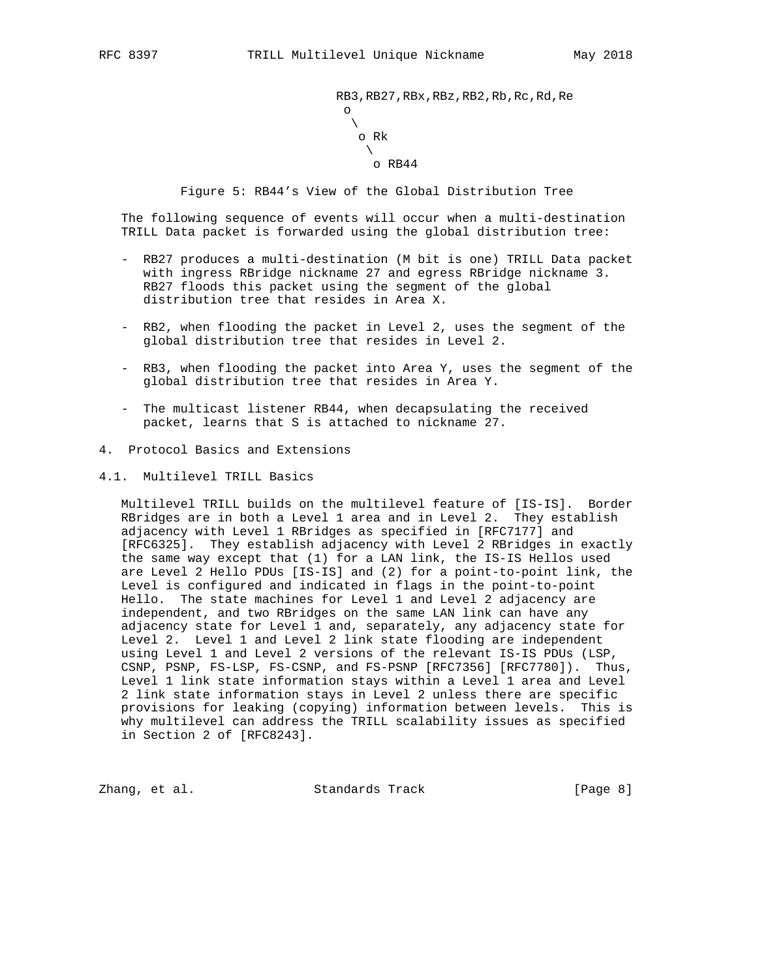RB3,RB27,RBx,RBz,RB2,Rb,Rc,Rd,Re <u>o antico de la contrada de la contrada de la contrada de la contrada de la contrada de la contrada de la con</u>  $\mathcal{N}$  and  $\mathcal{N}$  are the set of  $\mathcal{N}$  o Rk  $\mathcal{N}$  and the set of the set of the set of the set of the set of the set of the set of the set of the set of the set of the set of the set of the set of the set of the set of the set of the set of the set of the set of o RB44

Figure 5: RB44's View of the Global Distribution Tree

 The following sequence of events will occur when a multi-destination TRILL Data packet is forwarded using the global distribution tree:

- RB27 produces a multi-destination (M bit is one) TRILL Data packet with ingress RBridge nickname 27 and egress RBridge nickname 3. RB27 floods this packet using the segment of the global distribution tree that resides in Area X.
- RB2, when flooding the packet in Level 2, uses the segment of the global distribution tree that resides in Level 2.
- RB3, when flooding the packet into Area Y, uses the segment of the global distribution tree that resides in Area Y.
- The multicast listener RB44, when decapsulating the received packet, learns that S is attached to nickname 27.
- 4. Protocol Basics and Extensions
- 4.1. Multilevel TRILL Basics

 Multilevel TRILL builds on the multilevel feature of [IS-IS]. Border RBridges are in both a Level 1 area and in Level 2. They establish adjacency with Level 1 RBridges as specified in [RFC7177] and [RFC6325]. They establish adjacency with Level 2 RBridges in exactly the same way except that (1) for a LAN link, the IS-IS Hellos used are Level 2 Hello PDUs [IS-IS] and (2) for a point-to-point link, the Level is configured and indicated in flags in the point-to-point Hello. The state machines for Level 1 and Level 2 adjacency are independent, and two RBridges on the same LAN link can have any adjacency state for Level 1 and, separately, any adjacency state for Level 2. Level 1 and Level 2 link state flooding are independent using Level 1 and Level 2 versions of the relevant IS-IS PDUs (LSP, CSNP, PSNP, FS-LSP, FS-CSNP, and FS-PSNP [RFC7356] [RFC7780]). Thus, Level 1 link state information stays within a Level 1 area and Level 2 link state information stays in Level 2 unless there are specific provisions for leaking (copying) information between levels. This is why multilevel can address the TRILL scalability issues as specified in Section 2 of [RFC8243].

Zhang, et al. Standards Track [Page 8]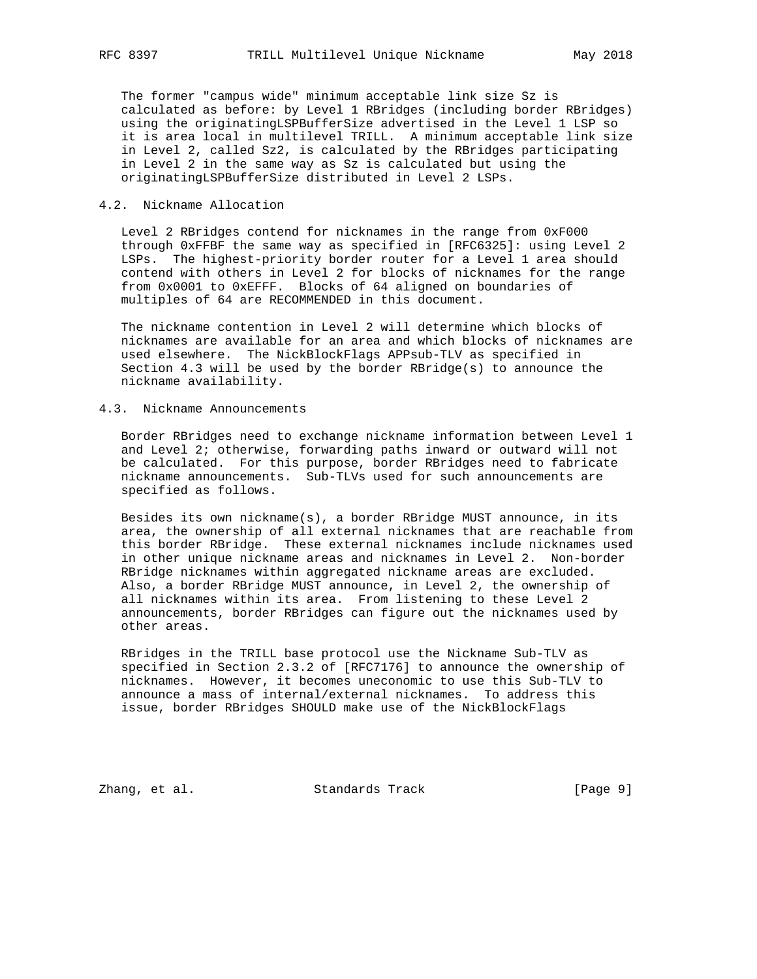The former "campus wide" minimum acceptable link size Sz is calculated as before: by Level 1 RBridges (including border RBridges) using the originatingLSPBufferSize advertised in the Level 1 LSP so it is area local in multilevel TRILL. A minimum acceptable link size in Level 2, called Sz2, is calculated by the RBridges participating in Level 2 in the same way as Sz is calculated but using the originatingLSPBufferSize distributed in Level 2 LSPs.

#### 4.2. Nickname Allocation

 Level 2 RBridges contend for nicknames in the range from 0xF000 through 0xFFBF the same way as specified in [RFC6325]: using Level 2 LSPs. The highest-priority border router for a Level 1 area should contend with others in Level 2 for blocks of nicknames for the range from 0x0001 to 0xEFFF. Blocks of 64 aligned on boundaries of multiples of 64 are RECOMMENDED in this document.

 The nickname contention in Level 2 will determine which blocks of nicknames are available for an area and which blocks of nicknames are used elsewhere. The NickBlockFlags APPsub-TLV as specified in Section 4.3 will be used by the border RBridge(s) to announce the nickname availability.

#### 4.3. Nickname Announcements

 Border RBridges need to exchange nickname information between Level 1 and Level 2; otherwise, forwarding paths inward or outward will not be calculated. For this purpose, border RBridges need to fabricate nickname announcements. Sub-TLVs used for such announcements are specified as follows.

 Besides its own nickname(s), a border RBridge MUST announce, in its area, the ownership of all external nicknames that are reachable from this border RBridge. These external nicknames include nicknames used in other unique nickname areas and nicknames in Level 2. Non-border RBridge nicknames within aggregated nickname areas are excluded. Also, a border RBridge MUST announce, in Level 2, the ownership of all nicknames within its area. From listening to these Level 2 announcements, border RBridges can figure out the nicknames used by other areas.

 RBridges in the TRILL base protocol use the Nickname Sub-TLV as specified in Section 2.3.2 of [RFC7176] to announce the ownership of nicknames. However, it becomes uneconomic to use this Sub-TLV to announce a mass of internal/external nicknames. To address this issue, border RBridges SHOULD make use of the NickBlockFlags

Zhang, et al. Standards Track [Page 9]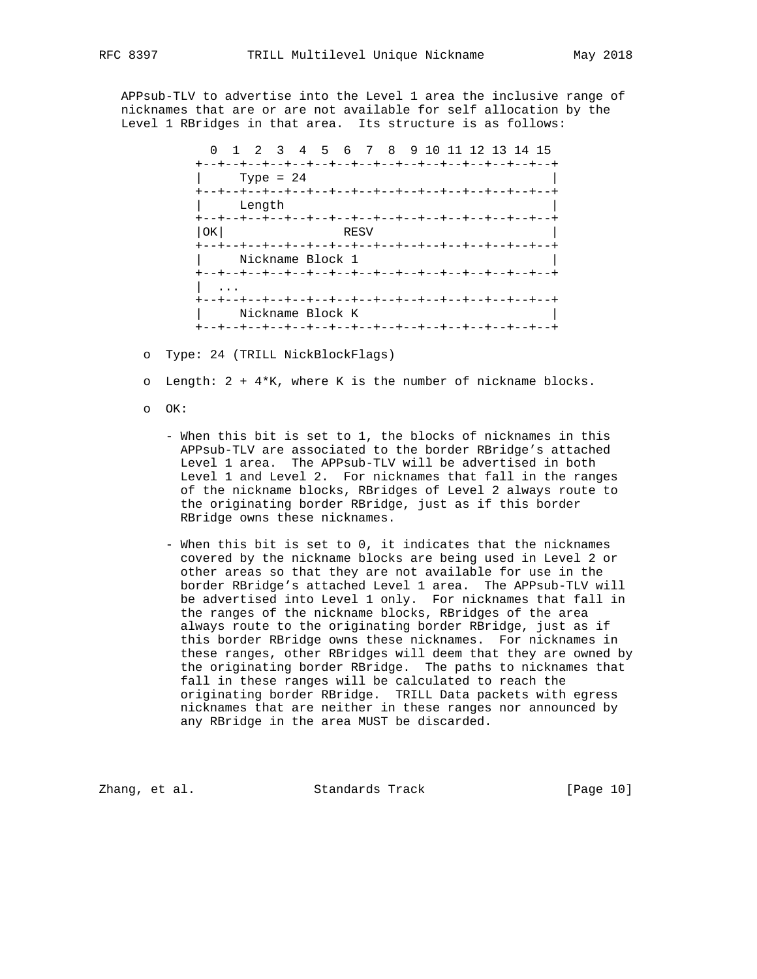APPsub-TLV to advertise into the Level 1 area the inclusive range of nicknames that are or are not available for self allocation by the

Level 1 RBridges in that area. Its structure is as follows:

 0 1 2 3 4 5 6 7 8 9 10 11 12 13 14 15 +--+--+--+--+--+--+--+--+--+--+--+--+--+--+--+--+ | Type = 24 | +--+--+--+--+--+--+--+--+--+--+--+--+--+--+--+--+ | Length | +--+--+--+--+--+--+--+--+--+--+--+--+--+--+--+--+ | OK | RESV +--+--+--+--+--+--+--+--+--+--+--+--+--+--+--+--+ | Nickname Block 1 +--+--+--+--+--+--+--+--+--+--+--+--+--+--+--+--+ | ... +--+--+--+--+--+--+--+--+--+--+--+--+--+--+--+--+ | Nickname Block K | +--+--+--+--+--+--+--+--+--+--+--+--+--+--+--+--+

o Type: 24 (TRILL NickBlockFlags)

o Length: 2 + 4\*K, where K is the number of nickname blocks.

- o OK:
	- When this bit is set to 1, the blocks of nicknames in this APPsub-TLV are associated to the border RBridge's attached Level 1 area. The APPsub-TLV will be advertised in both Level 1 and Level 2. For nicknames that fall in the ranges of the nickname blocks, RBridges of Level 2 always route to the originating border RBridge, just as if this border RBridge owns these nicknames.
	- When this bit is set to 0, it indicates that the nicknames covered by the nickname blocks are being used in Level 2 or other areas so that they are not available for use in the border RBridge's attached Level 1 area. The APPsub-TLV will be advertised into Level 1 only. For nicknames that fall in the ranges of the nickname blocks, RBridges of the area always route to the originating border RBridge, just as if this border RBridge owns these nicknames. For nicknames in these ranges, other RBridges will deem that they are owned by the originating border RBridge. The paths to nicknames that fall in these ranges will be calculated to reach the originating border RBridge. TRILL Data packets with egress nicknames that are neither in these ranges nor announced by any RBridge in the area MUST be discarded.

Zhang, et al. Standards Track [Page 10]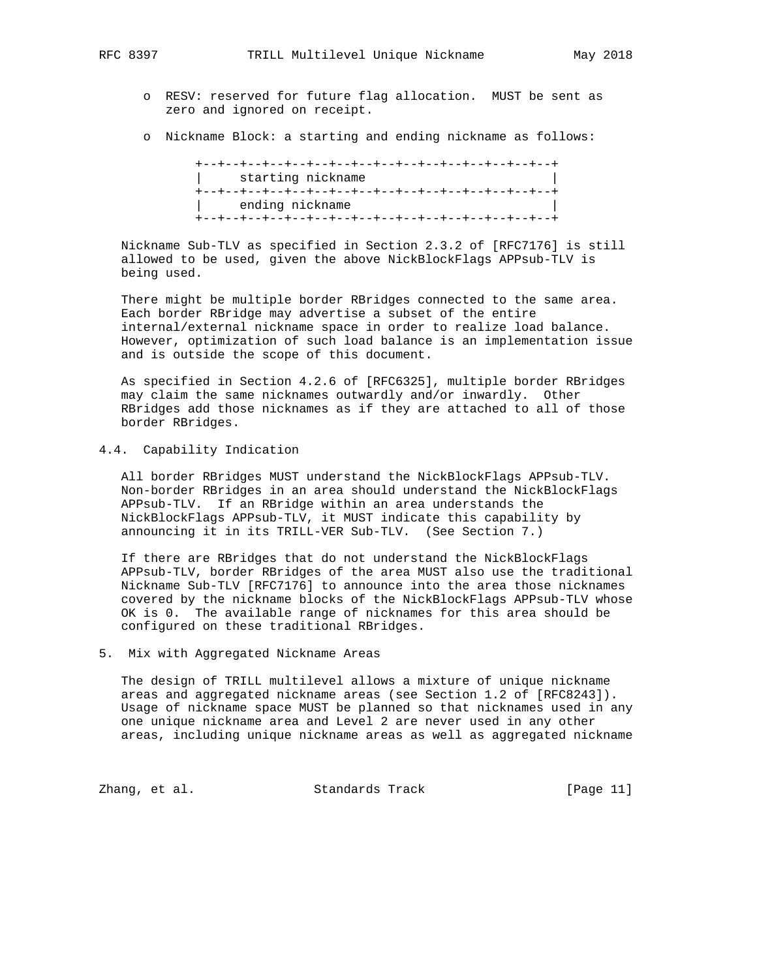- o RESV: reserved for future flag allocation. MUST be sent as zero and ignored on receipt.
- o Nickname Block: a starting and ending nickname as follows:

 +--+--+--+--+--+--+--+--+--+--+--+--+--+--+--+--+ starting nickname +--+--+--+--+--+--+--+--+--+--+--+--+--+--+--+--+ ending nickname +--+--+--+--+--+--+--+--+--+--+--+--+--+--+--+--+

 Nickname Sub-TLV as specified in Section 2.3.2 of [RFC7176] is still allowed to be used, given the above NickBlockFlags APPsub-TLV is being used.

 There might be multiple border RBridges connected to the same area. Each border RBridge may advertise a subset of the entire internal/external nickname space in order to realize load balance. However, optimization of such load balance is an implementation issue and is outside the scope of this document.

 As specified in Section 4.2.6 of [RFC6325], multiple border RBridges may claim the same nicknames outwardly and/or inwardly. Other RBridges add those nicknames as if they are attached to all of those border RBridges.

### 4.4. Capability Indication

 All border RBridges MUST understand the NickBlockFlags APPsub-TLV. Non-border RBridges in an area should understand the NickBlockFlags APPsub-TLV. If an RBridge within an area understands the NickBlockFlags APPsub-TLV, it MUST indicate this capability by announcing it in its TRILL-VER Sub-TLV. (See Section 7.)

 If there are RBridges that do not understand the NickBlockFlags APPsub-TLV, border RBridges of the area MUST also use the traditional Nickname Sub-TLV [RFC7176] to announce into the area those nicknames covered by the nickname blocks of the NickBlockFlags APPsub-TLV whose OK is 0. The available range of nicknames for this area should be configured on these traditional RBridges.

#### 5. Mix with Aggregated Nickname Areas

 The design of TRILL multilevel allows a mixture of unique nickname areas and aggregated nickname areas (see Section 1.2 of [RFC8243]). Usage of nickname space MUST be planned so that nicknames used in any one unique nickname area and Level 2 are never used in any other areas, including unique nickname areas as well as aggregated nickname

Zhang, et al. Standards Track [Page 11]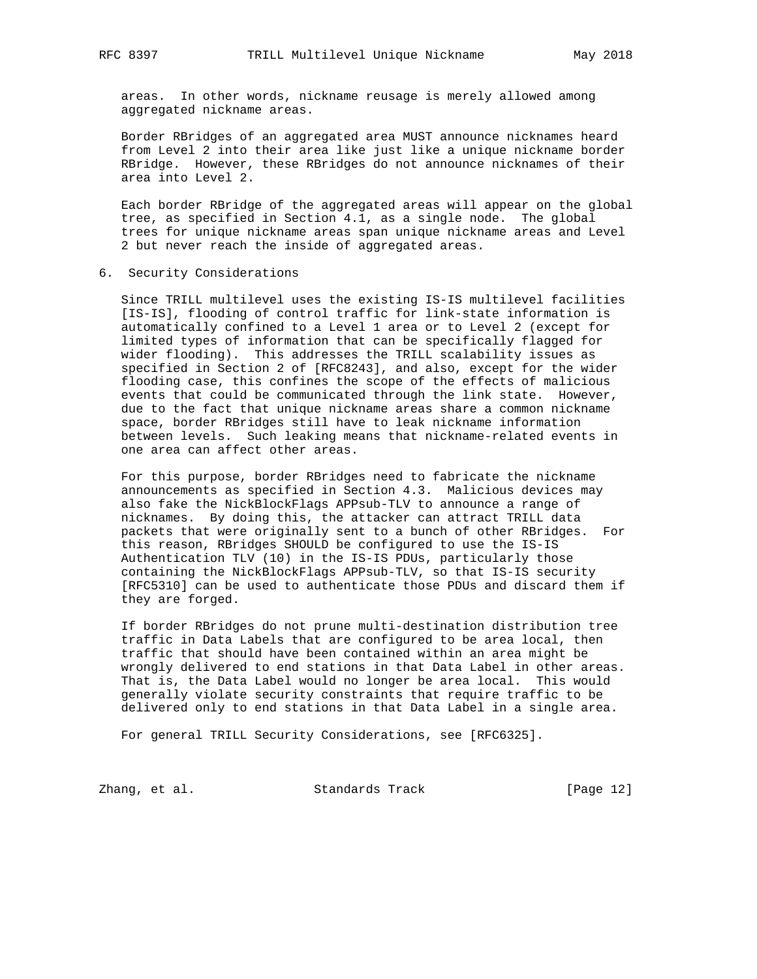areas. In other words, nickname reusage is merely allowed among aggregated nickname areas.

 Border RBridges of an aggregated area MUST announce nicknames heard from Level 2 into their area like just like a unique nickname border RBridge. However, these RBridges do not announce nicknames of their area into Level 2.

 Each border RBridge of the aggregated areas will appear on the global tree, as specified in Section 4.1, as a single node. The global trees for unique nickname areas span unique nickname areas and Level 2 but never reach the inside of aggregated areas.

6. Security Considerations

 Since TRILL multilevel uses the existing IS-IS multilevel facilities [IS-IS], flooding of control traffic for link-state information is automatically confined to a Level 1 area or to Level 2 (except for limited types of information that can be specifically flagged for wider flooding). This addresses the TRILL scalability issues as specified in Section 2 of [RFC8243], and also, except for the wider flooding case, this confines the scope of the effects of malicious events that could be communicated through the link state. However, due to the fact that unique nickname areas share a common nickname space, border RBridges still have to leak nickname information between levels. Such leaking means that nickname-related events in one area can affect other areas.

 For this purpose, border RBridges need to fabricate the nickname announcements as specified in Section 4.3. Malicious devices may also fake the NickBlockFlags APPsub-TLV to announce a range of nicknames. By doing this, the attacker can attract TRILL data packets that were originally sent to a bunch of other RBridges. For this reason, RBridges SHOULD be configured to use the IS-IS Authentication TLV (10) in the IS-IS PDUs, particularly those containing the NickBlockFlags APPsub-TLV, so that IS-IS security [RFC5310] can be used to authenticate those PDUs and discard them if they are forged.

 If border RBridges do not prune multi-destination distribution tree traffic in Data Labels that are configured to be area local, then traffic that should have been contained within an area might be wrongly delivered to end stations in that Data Label in other areas. That is, the Data Label would no longer be area local. This would generally violate security constraints that require traffic to be delivered only to end stations in that Data Label in a single area.

For general TRILL Security Considerations, see [RFC6325].

Zhang, et al. Standards Track [Page 12]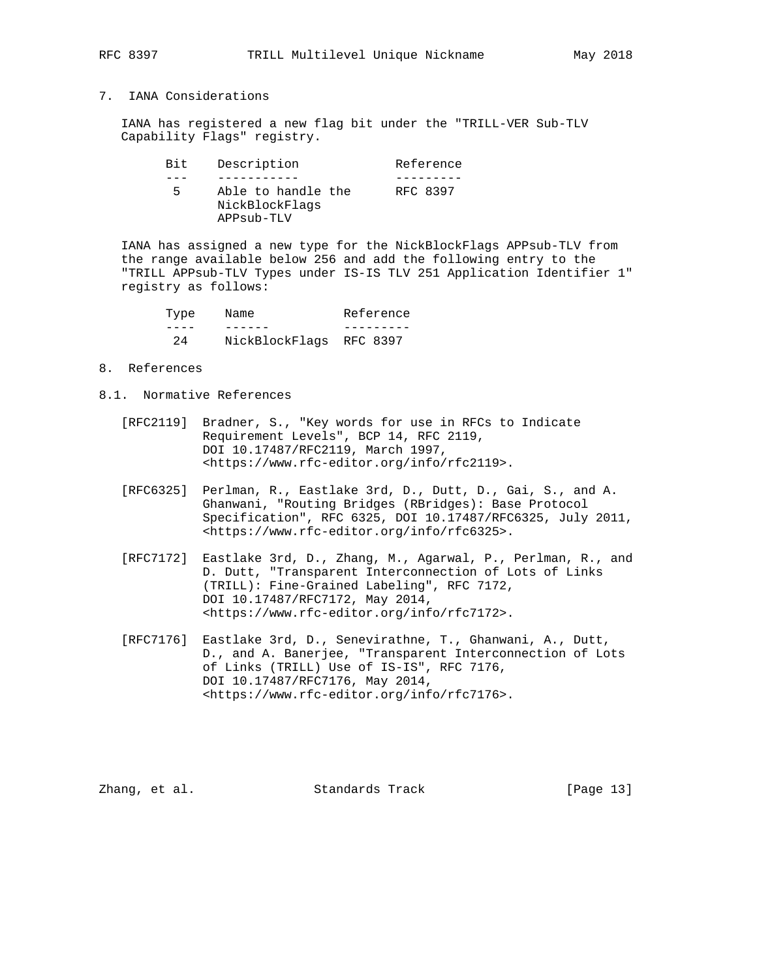## 7. IANA Considerations

 IANA has registered a new flag bit under the "TRILL-VER Sub-TLV Capability Flags" registry.

| Bit | Description |                                      |  | Reference |
|-----|-------------|--------------------------------------|--|-----------|
|     |             |                                      |  |           |
| Б.  | APPsub-TLV  | Able to handle the<br>NickBlockFlags |  | RFC 8397  |

 IANA has assigned a new type for the NickBlockFlags APPsub-TLV from the range available below 256 and add the following entry to the "TRILL APPsub-TLV Types under IS-IS TLV 251 Application Identifier 1" registry as follows:

| Type | Name                    | Reference |
|------|-------------------------|-----------|
|      |                         |           |
| 2.4  | NickBlockFlags RFC 8397 |           |

## 8. References

- 8.1. Normative References
	- [RFC2119] Bradner, S., "Key words for use in RFCs to Indicate Requirement Levels", BCP 14, RFC 2119, DOI 10.17487/RFC2119, March 1997, <https://www.rfc-editor.org/info/rfc2119>.
	- [RFC6325] Perlman, R., Eastlake 3rd, D., Dutt, D., Gai, S., and A. Ghanwani, "Routing Bridges (RBridges): Base Protocol Specification", RFC 6325, DOI 10.17487/RFC6325, July 2011, <https://www.rfc-editor.org/info/rfc6325>.
	- [RFC7172] Eastlake 3rd, D., Zhang, M., Agarwal, P., Perlman, R., and D. Dutt, "Transparent Interconnection of Lots of Links (TRILL): Fine-Grained Labeling", RFC 7172, DOI 10.17487/RFC7172, May 2014, <https://www.rfc-editor.org/info/rfc7172>.
	- [RFC7176] Eastlake 3rd, D., Senevirathne, T., Ghanwani, A., Dutt, D., and A. Banerjee, "Transparent Interconnection of Lots of Links (TRILL) Use of IS-IS", RFC 7176, DOI 10.17487/RFC7176, May 2014, <https://www.rfc-editor.org/info/rfc7176>.

Zhang, et al. Standards Track [Page 13]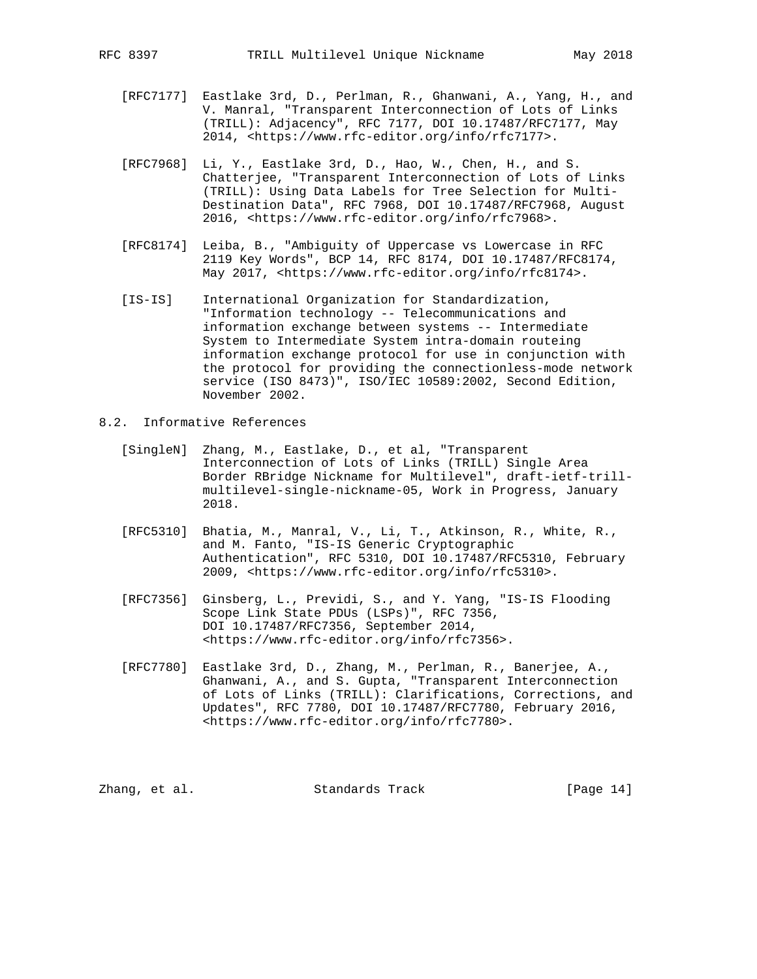- [RFC7177] Eastlake 3rd, D., Perlman, R., Ghanwani, A., Yang, H., and V. Manral, "Transparent Interconnection of Lots of Links (TRILL): Adjacency", RFC 7177, DOI 10.17487/RFC7177, May 2014, <https://www.rfc-editor.org/info/rfc7177>.
- [RFC7968] Li, Y., Eastlake 3rd, D., Hao, W., Chen, H., and S. Chatterjee, "Transparent Interconnection of Lots of Links (TRILL): Using Data Labels for Tree Selection for Multi- Destination Data", RFC 7968, DOI 10.17487/RFC7968, August 2016, <https://www.rfc-editor.org/info/rfc7968>.
- [RFC8174] Leiba, B., "Ambiguity of Uppercase vs Lowercase in RFC 2119 Key Words", BCP 14, RFC 8174, DOI 10.17487/RFC8174, May 2017, <https://www.rfc-editor.org/info/rfc8174>.
- [IS-IS] International Organization for Standardization, "Information technology -- Telecommunications and information exchange between systems -- Intermediate System to Intermediate System intra-domain routeing information exchange protocol for use in conjunction with the protocol for providing the connectionless-mode network service (ISO 8473)", ISO/IEC 10589:2002, Second Edition, November 2002.
- 8.2. Informative References
	- [SingleN] Zhang, M., Eastlake, D., et al, "Transparent Interconnection of Lots of Links (TRILL) Single Area Border RBridge Nickname for Multilevel", draft-ietf-trill multilevel-single-nickname-05, Work in Progress, January 2018.
	- [RFC5310] Bhatia, M., Manral, V., Li, T., Atkinson, R., White, R., and M. Fanto, "IS-IS Generic Cryptographic Authentication", RFC 5310, DOI 10.17487/RFC5310, February 2009, <https://www.rfc-editor.org/info/rfc5310>.
	- [RFC7356] Ginsberg, L., Previdi, S., and Y. Yang, "IS-IS Flooding Scope Link State PDUs (LSPs)", RFC 7356, DOI 10.17487/RFC7356, September 2014, <https://www.rfc-editor.org/info/rfc7356>.
	- [RFC7780] Eastlake 3rd, D., Zhang, M., Perlman, R., Banerjee, A., Ghanwani, A., and S. Gupta, "Transparent Interconnection of Lots of Links (TRILL): Clarifications, Corrections, and Updates", RFC 7780, DOI 10.17487/RFC7780, February 2016, <https://www.rfc-editor.org/info/rfc7780>.

Zhang, et al. Standards Track [Page 14]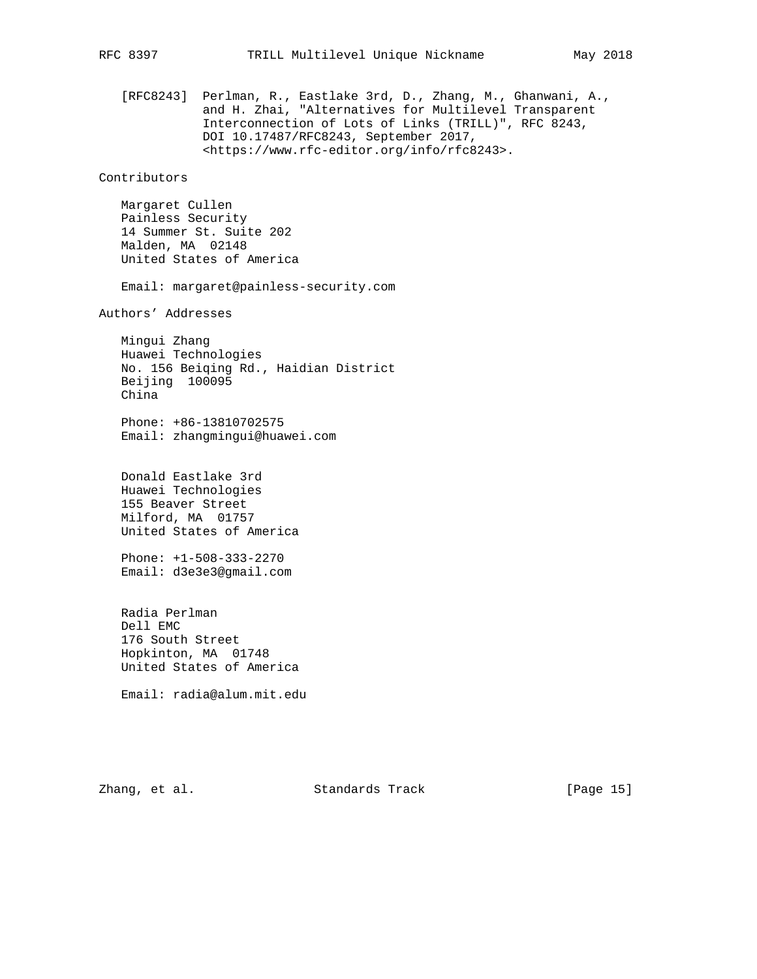[RFC8243] Perlman, R., Eastlake 3rd, D., Zhang, M., Ghanwani, A., and H. Zhai, "Alternatives for Multilevel Transparent Interconnection of Lots of Links (TRILL)", RFC 8243, DOI 10.17487/RFC8243, September 2017, <https://www.rfc-editor.org/info/rfc8243>. Contributors Margaret Cullen Painless Security 14 Summer St. Suite 202 Malden, MA 02148 United States of America Email: margaret@painless-security.com Authors' Addresses Mingui Zhang Huawei Technologies No. 156 Beiqing Rd., Haidian District Beijing 100095 China Phone: +86-13810702575 Email: zhangmingui@huawei.com Donald Eastlake 3rd Huawei Technologies 155 Beaver Street Milford, MA 01757 United States of America Phone: +1-508-333-2270 Email: d3e3e3@gmail.com

 Radia Perlman Dell EMC 176 South Street Hopkinton, MA 01748 United States of America

Email: radia@alum.mit.edu

Zhang, et al. Standards Track [Page 15]